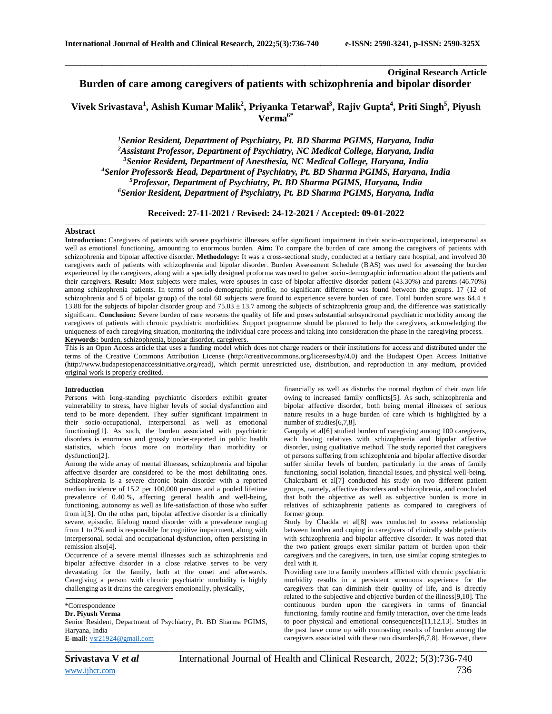# **Original Research Article Burden of care among caregivers of patients with schizophrenia and bipolar disorder**

# **Vivek Srivastava<sup>1</sup> , Ashish Kumar Malik<sup>2</sup> , Priyanka Tetarwal<sup>3</sup> , Rajiv Gupta<sup>4</sup> , Priti Singh<sup>5</sup> , Piyush Verma6\***

\_\_\_\_\_\_\_\_\_\_\_\_\_\_\_\_\_\_\_\_\_\_\_\_\_\_\_\_\_\_\_\_\_\_\_\_\_\_\_\_\_\_\_\_\_\_\_\_\_\_\_\_\_\_\_\_\_\_\_\_\_\_\_\_\_\_\_\_\_\_\_\_\_\_\_\_\_\_\_\_\_\_\_\_\_\_\_\_\_\_\_\_\_\_\_\_\_\_\_\_\_\_\_\_

*Senior Resident, Department of Psychiatry, Pt. BD Sharma PGIMS, Haryana, India Assistant Professor, Department of Psychiatry, NC Medical College, Haryana, India Senior Resident, Department of Anesthesia, NC Medical College, Haryana, India Senior Professor& Head, Department of Psychiatry, Pt. BD Sharma PGIMS, Haryana, India Professor, Department of Psychiatry, Pt. BD Sharma PGIMS, Haryana, India Senior Resident, Department of Psychiatry, Pt. BD Sharma PGIMS, Haryana, India*

**Received: 27-11-2021 / Revised: 24-12-2021 / Accepted: 09-01-2022**

## **Abstract**

**Introduction:** Caregivers of patients with severe psychiatric illnesses suffer significant impairment in their socio-occupational, interpersonal as well as emotional functioning, amounting to enormous burden. **Aim:** To compare the burden of care among the caregivers of patients with schizophrenia and bipolar affective disorder. **Methodology:** It was a cross-sectional study, conducted at a tertiary care hospital, and involved 30 caregivers each of patients with schizophrenia and bipolar disorder. Burden Assessment Schedule (BAS) was used for assessing the burden experienced by the caregivers, along with a specially designed proforma was used to gather socio-demographic information about the patients and their caregivers. **Result:** Most subjects were males, were spouses in case of bipolar affective disorder patient (43.30%) and parents (46.70%) among schizophrenia patients. In terms of socio-demographic profile, no significant difference was found between the groups. 17 (12 of schizophrenia and 5 of bipolar group) of the total 60 subjects were found to experience severe burden of care. Total burden score was 64.4  $\pm$ 13.88 for the subjects of bipolar disorder group and  $75.03 \pm 13.7$  among the subjects of schizophrenia group and, the difference was statistically significant. **Conclusion:** Severe burden of care worsens the quality of life and poses substantial subsyndromal psychiatric morbidity among the caregivers of patients with chronic psychiatric morbidities. Support programme should be planned to help the caregivers, acknowledging the uniqueness of each caregiving situation, monitoring the individual care process and taking into consideration the phase in the caregiving process. **Keywords:** burden, schizophrenia, bipolar disorder, caregivers.

This is an Open Access article that uses a funding model which does not charge readers or their institutions for access and distributed under the terms of the Creative Commons Attribution License (http://creativecommons.org/licenses/by/4.0) and the Budapest Open Access Initiative (http://www.budapestopenaccessinitiative.org/read), which permit unrestricted use, distribution, and reproduction in any medium, provided original work is properly credited.

## **Introduction**

Persons with long-standing psychiatric disorders exhibit greater vulnerability to stress, have higher levels of social dysfunction and tend to be more dependent. They suffer significant impairment in their socio-occupational, interpersonal as well as emotional functioning[1]. As such, the burden associated with psychiatric disorders is enormous and grossly under-reported in public health statistics, which focus more on mortality than morbidity or dysfunction[2].

Among the wide array of mental illnesses, schizophrenia and bipolar affective disorder are considered to be the most debilitating ones. Schizophrenia is a severe chronic brain disorder with a reported median incidence of 15.2 per 100,000 persons and a pooled lifetime prevalence of 0.40 %, affecting general health and well-being, functioning, autonomy as well as life-satisfaction of those who suffer from it[3]. On the other part, bipolar affective disorder is a clinically severe, episodic, lifelong mood disorder with a prevalence ranging from 1 to 2% and is responsible for cognitive impairment, along with interpersonal, social and occupational dysfunction, often persisting in remission also[4].

Occurrence of a severe mental illnesses such as schizophrenia and bipolar affective disorder in a close relative serves to be very devastating for the family, both at the onset and afterwards. Caregiving a person with chronic psychiatric morbidity is highly challenging as it drains the caregivers emotionally, physically,

\*Correspondence **Dr. Piyush Verma** Senior Resident, Department of Psychiatry, Pt. BD Sharma PGIMS, Haryana, India **E-mail:** [vsr21924@gmail.com](mailto:vsr21924@gmail.com)

financially as well as disturbs the normal rhythm of their own life owing to increased family conflicts[5]. As such, schizophrenia and bipolar affective disorder, both being mental illnesses of serious nature results in a huge burden of care which is highlighted by a number of studies[6,7,8].

Ganguly et al<sup>[6]</sup> studied burden of caregiving among 100 caregivers, each having relatives with schizophrenia and bipolar affective disorder, using qualitative method. The study reported that caregivers of persons suffering from schizophrenia and bipolar affective disorder suffer similar levels of burden, particularly in the areas of family functioning, social isolation, financial issues, and physical well-being. Chakrabarti et al[7] conducted his study on two different patient groups, namely, affective disorders and schizophrenia, and concluded that both the objective as well as subjective burden is more in relatives of schizophrenia patients as compared to caregivers of former group.

Study by Chadda et al[8] was conducted to assess relationship between burden and coping in caregivers of clinically stable patients with schizophrenia and bipolar affective disorder. It was noted that the two patient groups exert similar pattern of burden upon their caregivers and the caregivers, in turn, use similar coping strategies to deal with it.

Providing care to a family members afflicted with chronic psychiatric morbidity results in a persistent strenuous experience for the caregivers that can diminish their quality of life, and is directly related to the subjective and objective burden of the illness[9,10]. The continuous burden upon the caregivers in terms of financial functioning, family routine and family interaction, over the time leads to poor physical and emotional consequences[11,12,13]. Studies in the past have come up with contrasting results of burden among the caregivers associated with these two disorders[6,7,8]. However, there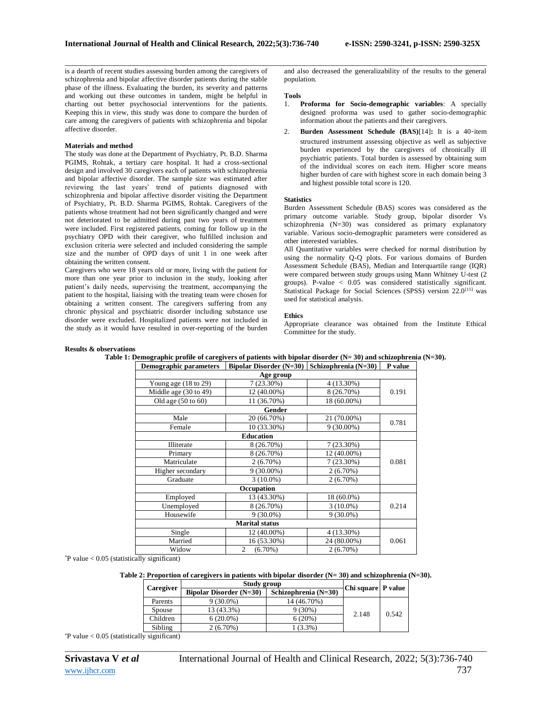is a dearth of recent studies assessing burden among the caregivers of schizophrenia and bipolar affective disorder patients during the stable phase of the illness. Evaluating the burden, its severity and patterns and working out these outcomes in tandem, might be helpful in charting out better psychosocial interventions for the patients. Keeping this in view, this study was done to compare the burden of care among the caregivers of patients with schizophrenia and bipolar affective disorder.

# **Materials and method**

The study was done at the Department of Psychiatry, Pt. B.D. Sharma PGIMS, Rohtak, a tertiary care hospital. It had a cross-sectional design and involved 30 caregivers each of patients with schizophrenia and bipolar affective disorder. The sample size was estimated after reviewing the last years' trend of patients diagnosed with schizophrenia and bipolar affective disorder visiting the Department of Psychiatry, Pt. B.D. Sharma PGIMS, Rohtak. Caregivers of the patients whose treatment had not been significantly changed and were not deteriorated to be admitted during past two years of treatment were included. First registered patients, coming for follow up in the psychiatry OPD with their caregiver, who fulfilled inclusion and exclusion criteria were selected and included considering the sample size and the number of OPD days of unit 1 in one week after obtaining the written consent.

Caregivers who were 18 years old or more, living with the patient for more than one year prior to inclusion in the study, looking after patient's daily needs, supervising the treatment, accompanying the patient to the hospital, liaising with the treating team were chosen for obtaining a written consent. The caregivers suffering from any chronic physical and psychiatric disorder including substance use disorder were excluded. Hospitalized patients were not included in the study as it would have resulted in over-reporting of the burden

and also decreased the generalizability of the results to the general population.

#### **Tools**

\_\_\_\_\_\_\_\_\_\_\_\_\_\_\_\_\_\_\_\_\_\_\_\_\_\_\_\_\_\_\_\_\_\_\_\_\_\_\_\_\_\_\_\_\_\_\_\_\_\_\_\_\_\_\_\_\_\_\_\_\_\_\_\_\_\_\_\_\_\_\_\_\_\_\_\_\_\_\_\_\_\_\_\_\_\_\_\_\_\_\_\_\_\_\_\_\_\_\_\_\_\_\_\_

- 1. **Proforma for Socio-demographic variables**: A specially designed proforma was used to gather socio-demographic information about the patients and their caregivers.
- 2. **Burden Assessment Schedule (BAS)**[14]**:** It is a 40‑item structured instrument assessing objective as well as subjective burden experienced by the caregivers of chronically ill psychiatric patients. Total burden is assessed by obtaining sum of the individual scores on each item. Higher score means higher burden of care with highest score in each domain being 3 and highest possible total score is 120.

## **Statistics**

Burden Assessment Schedule (BAS) scores was considered as the primary outcome variable. Study group, bipolar disorder Vs schizophrenia (N=30) was considered as primary explanatory variable. Various socio-demographic parameters were considered as other interested variables.

All Quantitative variables were checked for normal distribution by using the normality Q-Q plots. For various domains of Burden Assessment Schedule (BAS), Median and Interquartile range (IQR) were compared between study groups using Mann Whitney U-test (2 groups). P-value < 0.05 was considered statistically significant. Statistical Package for Social Sciences (SPSS) version 22.0<sup>[15]</sup> was used for statistical analysis.

## **Ethics**

Appropriate clearance was obtained from the Institute Ethical Committee for the study.

#### **Results & observations**

| DUMOGraphic parameters          | $\mu$                 |              |       |  |
|---------------------------------|-----------------------|--------------|-------|--|
|                                 | Age group             |              |       |  |
| Young age $(18 \text{ to } 29)$ | $7(23.30\%)$          | 4 (13.30%)   | 0.191 |  |
| Middle age (30 to 49)           | 12 (40.00%)           | 8 (26.70%)   |       |  |
| Old age $(50 \text{ to } 60)$   | 11 (36.70%)           | 18 (60.00%)  |       |  |
|                                 | Gender                |              |       |  |
| Male                            | 20 (66.70%)           | 21 (70.00%)  | 0.781 |  |
| Female                          | 10 (33.30%)           | $9(30.00\%)$ |       |  |
|                                 | <b>Education</b>      |              |       |  |
| Illiterate                      | 8 (26.70%)            | $7(23.30\%)$ |       |  |
| Primary                         | 8 (26.70%)            | 12 (40.00%)  |       |  |
| Matriculate                     | 2(6.70%)              | $7(23.30\%)$ | 0.081 |  |
| Higher secondary                | $9(30.00\%)$          | 2(6.70%)     |       |  |
| Graduate                        | $3(10.0\%)$           | 2(6.70%)     |       |  |
|                                 | Occupation            |              |       |  |
| Employed                        | 13 (43.30%)           | 18 (60.0%)   | 0.214 |  |
| Unemployed                      | 8 (26.70%)            | $3(10.0\%)$  |       |  |
| Housewife                       | $9(30.0\%)$           | $9(30.0\%)$  |       |  |
|                                 | <b>Marital status</b> |              |       |  |
| Single                          | 12 (40.00%)           | 4 (13.30%)   | 0.061 |  |
| Married                         | 16 (53.30%)           | 24 (80.00%)  |       |  |
| Widow                           | 2<br>$(6.70\%)$       | $2(6.70\%)$  |       |  |

**Table 1: Demographic profile of caregivers of patients with bipolar disorder (N= 30) and schizophrenia (N=30). Demographic parameters Bipolar Disorder (N=30) Schizophrenia (N=30) P value**

 $P$  value < 0.05 (statistically significant)

# **Table 2: Proportion of caregivers in patients with bipolar disorder (N= 30) and schizophrenia (N=30).**

| Caregiver | Study group                    | Chi square   P value |       |       |
|-----------|--------------------------------|----------------------|-------|-------|
|           | <b>Bipolar Disorder (N=30)</b> | Schizophrenia (N=30) |       |       |
| Parents   | $9(30.0\%)$                    | 14 (46.70%)          | 2.148 | 0.542 |
| Spouse    | 13 (43.3%)                     | $9(30\%)$            |       |       |
| Children  | $6(20.0\%)$                    | 6(20%)               |       |       |
| Sibling   | $2(6.70\%)$                    | $(3.3\%)$            |       |       |

*\_\_\_\_\_\_\_\_\_\_\_\_\_\_\_\_\_\_\_\_\_\_\_\_\_\_\_\_\_\_\_\_\_\_\_\_\_\_\_\_\_\_\_\_\_\_\_\_\_\_\_\_\_\_\_\_\_\_\_\_\_\_\_\_\_\_\_\_\_\_\_\_\_\_\_\_\_\_\_\_\_\_\_\_\_\_\_\_\_\_\_\_\_\_\_\_\_\_\_\_\_\_\_\_*

 $*$ P value  $< 0.05$  (statistically significant)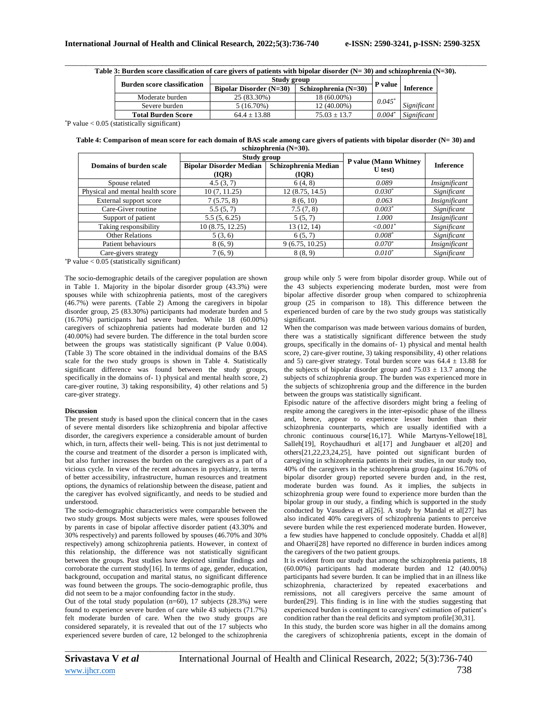| Table 3: Burden score classification of care givers of patients with bipolar disorder $(N=30)$ and schizophrenia $(N=30)$ . |  |
|-----------------------------------------------------------------------------------------------------------------------------|--|

| <b>Burden score classification</b> | Study group               |                      |          |                  |
|------------------------------------|---------------------------|----------------------|----------|------------------|
|                                    | Bipolar Disorder $(N=30)$ | Schizophrenia (N=30) | P value  | <b>Inference</b> |
| Moderate burden                    | 25 (83.30%)               | 18 (60.00%)          | $0.045*$ |                  |
| Severe burden                      | 5 (16.70%)                | 12 (40.00%)          |          | Significant      |
| <b>Total Burden Score</b>          | $64.4 + 13.88$            | $75.03 + 13.7$       | $0.004*$ | Significant      |

\*P value < 0.05 (statistically significant)

**Table 4: Comparison of mean score for each domain of BAS scale among care givers of patients with bipolar disorder (N= 30) and schizophrenia (N=30).**

|                                  | Study group                             |                               | P value (Mann Whitney | <b>Inference</b> |
|----------------------------------|-----------------------------------------|-------------------------------|-----------------------|------------------|
| Domains of burden scale          | <b>Bipolar Disorder Median</b><br>(IOR) | Schizophrenia Median<br>(IOR) | $U$ test)             |                  |
| Spouse related                   | 4.5(3, 7)                               | 6(4, 8)                       | 0.089                 | Insignificant    |
| Physical and mental health score | 10(7, 11.25)                            | 12(8.75, 14.5)                | $0.030*$              | Significant      |
| External support score           | 7(5.75, 8)                              | 8(6, 10)                      | 0.063                 | Insignificant    |
| Care-Giver routine               | 5.5(5, 7)                               | 7.5(7, 8)                     | $0.003*$              | Significant      |
| Support of patient               | 5.5(5, 6.25)                            | 5(5, 7)                       | 1.000                 | Insignificant    |
| Taking responsibility            | 10 (8.75, 12.25)                        | 13(12, 14)                    | $\{0.001\}$           | Significant      |
| <b>Other Relations</b>           | 5(3,6)                                  | 6(5, 7)                       | $0.008*$              | Significant      |
| Patient behaviours               | 8(6, 9)                                 | 9(6.75, 10.25)                | $0.070*$              | Insignificant    |
| Care-givers strategy             | 7(6, 9)                                 | 8(8, 9)                       | $0.010^*$             | Significant      |

 $*$ P value < 0.05 (statistically significant)

The socio-demographic details of the caregiver population are shown in Table 1. Majority in the bipolar disorder group (43.3%) were spouses while with schizophrenia patients, most of the caregivers (46.7%) were parents. (Table 2) Among the caregivers in bipolar disorder group, 25 (83.30%) participants had moderate burden and 5 (16.70%) participants had severe burden. While 18 (60.00%) caregivers of schizophrenia patients had moderate burden and 12 (40.00%) had severe burden. The difference in the total burden score between the groups was statistically significant (P Value 0.004). (Table 3) The score obtained in the individual domains of the BAS scale for the two study groups is shown in Table 4. Statistically significant difference was found between the study groups, specifically in the domains of- 1) physical and mental health score, 2) care-giver routine, 3) taking responsibility, 4) other relations and 5) care-giver strategy.

## **Discussion**

The present study is based upon the clinical concern that in the cases of severe mental disorders like schizophrenia and bipolar affective disorder, the caregivers experience a considerable amount of burden which, in turn, affects their well- being. This is not just detrimental to the course and treatment of the disorder a person is implicated with, but also further increases the burden on the caregivers as a part of a vicious cycle. In view of the recent advances in psychiatry, in terms of better accessibility, infrastructure, human resources and treatment options, the dynamics of relationship between the disease, patient and the caregiver has evolved significantly, and needs to be studied and understood.

The socio-demographic characteristics were comparable between the two study groups. Most subjects were males, were spouses followed by parents in case of bipolar affective disorder patient (43.30% and 30% respectively) and parents followed by spouses (46.70% and 30% respectively) among schizophrenia patients. However, in context of this relationship, the difference was not statistically significant between the groups. Past studies have depicted similar findings and corroborate the current study[16]. In terms of age, gender, education, background, occupation and marital status, no significant difference was found between the groups. The socio-demographic profile, thus did not seem to be a major confounding factor in the study.

Out of the total study population (n=60), 17 subjects (28.3%) were found to experience severe burden of care while 43 subjects (71.7%) felt moderate burden of care. When the two study groups are considered separately, it is revealed that out of the 17 subjects who experienced severe burden of care, 12 belonged to the schizophrenia

group while only 5 were from bipolar disorder group. While out of the 43 subjects experiencing moderate burden, most were from bipolar affective disorder group when compared to schizophrenia group (25 in comparison to 18). This difference between the experienced burden of care by the two study groups was statistically significant.

When the comparison was made between various domains of burden, there was a statistically significant difference between the study groups, specifically in the domains of- 1) physical and mental health score, 2) care-giver routine, 3) taking responsibility, 4) other relations and 5) care-giver strategy. Total burden score was  $64.4 \pm 13.88$  for the subjects of bipolar disorder group and  $75.03 \pm 13.7$  among the subjects of schizophrenia group. The burden was experienced more in the subjects of schizophrenia group and the difference in the burden between the groups was statistically significant.

Episodic nature of the affective disorders might bring a feeling of respite among the caregivers in the inter-episodic phase of the illness and, hence, appear to experience lesser burden than their schizophrenia counterparts, which are usually identified with a chronic continuous course[16,17]. While Martyns-Yellowe[18], Salleh[19], Roychaudhuri et al[17] and Jungbauer et al[20] and others[21,22,23,24,25], have pointed out significant burden of caregiving in schizophrenia patients in their studies, in our study too, 40% of the caregivers in the schizophrenia group (against 16.70% of bipolar disorder group) reported severe burden and, in the rest, moderate burden was found. As it implies, the subjects in schizophrenia group were found to experience more burden than the bipolar group in our study, a finding which is supported in the study conducted by Vasudeva et al[26]. A study by Mandal et al[27] has also indicated 40% caregivers of schizophrenia patients to perceive severe burden while the rest experienced moderate burden. However, a few studies have happened to conclude oppositely. Chadda et al[8] and Ohaeri[28] have reported no difference in burden indices among the caregivers of the two patient groups.

It is evident from our study that among the schizophrenia patients, 18 (60.00%) participants had moderate burden and 12 (40.00%) participants had severe burden. It can be implied that in an illness like schizophrenia, characterized by repeated exacerbations and remissions, not all caregivers perceive the same amount of burden[29]. This finding is in line with the studies suggesting that experienced burden is contingent to caregivers' estimation of patient's condition rather than the real deficits and symptom profile[30,31].

In this study, the burden score was higher in all the domains among the caregivers of schizophrenia patients, except in the domain of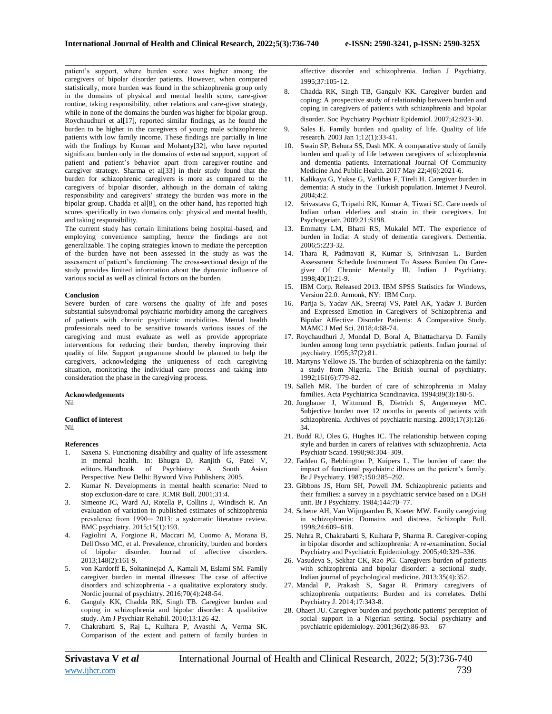\_\_\_\_\_\_\_\_\_\_\_\_\_\_\_\_\_\_\_\_\_\_\_\_\_\_\_\_\_\_\_\_\_\_\_\_\_\_\_\_\_\_\_\_\_\_\_\_\_\_\_\_\_\_\_\_\_\_\_\_\_\_\_\_\_\_\_\_\_\_\_\_\_\_\_\_\_\_\_\_\_\_\_\_\_\_\_\_\_\_\_\_\_\_\_\_\_\_\_\_\_\_\_\_ patient's support, where burden score was higher among the caregivers of bipolar disorder patients. However, when compared statistically, more burden was found in the schizophrenia group only in the domains of physical and mental health score, care-giver routine, taking responsibility, other relations and care-giver strategy, while in none of the domains the burden was higher for bipolar group. Roychaudhuri et al[17], reported similar findings, as he found the burden to be higher in the caregivers of young male schizophrenic patients with low family income. These findings are partially in line with the findings by Kumar and Mohanty[32], who have reported significant burden only in the domains of external support, support of patient and patient's behavior apart from caregiver-routine and caregiver strategy. Sharma et al[33] in their study found that the burden for schizophrenic caregivers is more as compared to the caregivers of bipolar disorder, although in the domain of taking responsibility and caregivers' strategy the burden was more in the bipolar group. Chadda et al[8], on the other hand, has reported high scores specifically in two domains only: physical and mental health, and taking responsibility.

The current study has certain limitations being hospital-based, and employing convenience sampling, hence the findings are not generalizable. The coping strategies known to mediate the perception of the burden have not been assessed in the study as was the assessment of patient's functioning. The cross-sectional design of the study provides limited information about the dynamic influence of various social as well as clinical factors on the burden.

### **Conclusion**

Severe burden of care worsens the quality of life and poses substantial subsyndromal psychiatric morbidity among the caregivers of patients with chronic psychiatric morbidities. Mental health professionals need to be sensitive towards various issues of the caregiving and must evaluate as well as provide appropriate interventions for reducing their burden, thereby improving their quality of life. Support programme should be planned to help the caregivers, acknowledging the uniqueness of each caregiving situation, monitoring the individual care process and taking into consideration the phase in the caregiving process.

#### **Acknowledgements**

Nil

# **Conflict of interest**

Nil

## **References**

- 1. Saxena S. Functioning disability and quality of life assessment in mental health. In: Bhugra D, Ranjith G, Patel V, editors. Handbook of Psychiatry: A South Asian Perspective. New Delhi: Byword Viva Publishers; 2005.
- 2. Kumar N. Developments in mental health scenario: Need to stop exclusion-dare to care. ICMR Bull. 2001;31:4.
- 3. Simeone JC, Ward AJ, Rotella P, Collins J, Windisch R. An evaluation of variation in published estimates of schizophrenia prevalence from 1990-2013: a systematic literature review. BMC psychiatry. 2015;15(1):193.
- 4. Fagiolini A, Forgione R, Maccari M, Cuomo A, Morana B, Dell'Osso MC, et al. Prevalence, chronicity, burden and borders of bipolar disorder. Journal of affective disorders. 2013;148(2):161-9.
- 5. von Kardorff E, Soltaninejad A, Kamali M, Eslami SM. Family caregiver burden in mental illnesses: The case of affective disorders and schizophrenia - a qualitative exploratory study. Nordic journal of psychiatry. 2016;70(4):248-54.
- 6. Ganguly KK, Chadda RK, Singh TB. Caregiver burden and coping in schizophrenia and bipolar disorder: A qualitative study. Am J Psychiatr Rehabil. 2010;13:126-42.
- 7. Chakrabarti S, Raj L, Kulhara P, Avasthi A, Verma SK. Comparison of the extent and pattern of family burden in
- 8. Chadda RK, Singh TB, Ganguly KK. Caregiver burden and coping: A prospective study of relationship between burden and coping in caregivers of patients with schizophrenia and bipolar disorder. Soc Psychiatry Psychiatr Epidemiol. 2007;42:923-30.
- 9. Sales E. Family burden and quality of life. Quality of life research. 2003 Jan 1;12(1):33-41.
- 10. Swain SP, Behura SS, Dash MK. A comparative study of family burden and quality of life between caregivers of schizophrenia and dementia patients. International Journal Of Community Medicine And Public Health. 2017 May 22;4(6):2021-6.
- 11. Kalikaya G, Yukse G, Varlibas F, Tireli H. Caregiver burden in dementia: A study in the Turkish population. Internet J Neurol. 2004;4:2.
- 12. Srivastava G, Tripathi RK, Kumar A, Tiwari SC. Care needs of Indian urban elderlies and strain in their caregivers. Int Psychogeriatr. 2009;21:S198.
- 13. Emmatty LM, Bhatti RS, Mukalel MT. The experience of burden in India: A study of dementia caregivers. Dementia. 2006;5:223-32.
- 14. Thara R, Padmavati R, Kumar S, Srinivasan L. Burden Assessment Schedule Instrument To Assess Burden On Caregiver Of Chronic Mentally Ill. Indian J Psychiatry. 1998;40(1):21-9.
- 15. IBM Corp. Released 2013. IBM SPSS Statistics for Windows, Version 22.0. Armonk, NY: IBM Corp.
- 16. Parija S, Yadav AK, Sreeraj VS, Patel AK, Yadav J. Burden and Expressed Emotion in Caregivers of Schizophrenia and Bipolar Affective Disorder Patients: A Comparative Study. MAMC J Med Sci. 2018;4:68-74.
- 17. Roychaudhuri J, Mondal D, Boral A, Bhattacharya D. Family burden among long term psychiatric patients. Indian journal of psychiatry. 1995;37(2):81.
- 18. Martyns-Yellowe IS. The burden of schizophrenia on the family: a study from Nigeria. The British journal of psychiatry. 1992;161(6):779-82.
- 19. Salleh MR. The burden of care of schizophrenia in Malay families. Acta Psychiatrica Scandinavica. 1994;89(3):180-5.
- 20. Jungbauer J, Wittmund B, Dietrich S, Angermeyer MC. Subjective burden over 12 months in parents of patients with schizophrenia. Archives of psychiatric nursing. 2003;17(3):126- 34.
- 21. Budd RJ, Oles G, Hughes IC. The relationship between coping style and burden in carers of relatives with schizophrenia. Acta Psychiatr Scand. 1998;98:304–309.
- 22. Fadden G, Bebbington P, Kuipers L. The burden of care: the impact of functional psychiatric illness on the patient's family. Br J Psychiatry. 1987;150:285–292.
- 23. Gibbons JS, Horn SH, Powell JM. Schizophrenic patients and their families: a survey in a psychiatric service based on a DGH unit. Br J Psychiatry. 1984;144:70–77.
- 24. Schene AH, Van Wijngaarden B, Koeter MW. Family caregiving in schizophrenia: Domains and distress. Schizophr Bull. 1998;24:609–618.
- 25. Nehra R, Chakrabarti S, Kulhara P, Sharma R. Caregiver-coping in bipolar disorder and schizophrenia: A re-examination. Social Psychiatry and Psychiatric Epidemiology. 2005;40:329–336.
- 26. Vasudeva S, Sekhar CK, Rao PG. Caregivers burden of patients with schizophrenia and bipolar disorder: a sectional study. Indian journal of psychological medicine. 2013;35(4):352.
- 27. Mandal P, Prakash S, Sagar R. Primary caregivers of schizophrenia outpatients: Burden and its correlates. Delhi Psychiatry J. 2014;17:343-8.
- 28. Ohaeri JU. Caregiver burden and psychotic patients' perception of social support in a Nigerian setting. Social psychiatry and psychiatric epidemiology. 2001;36(2):86-93. 67